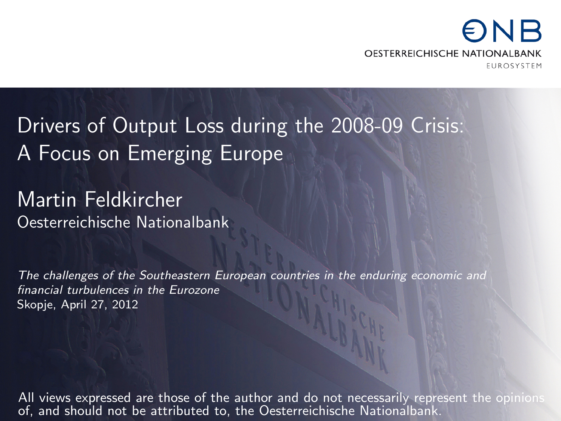#### NR OESTERREICHISCHE NATIONALBANK **FUROSYSTEM**

Drivers of Output Loss during the 2008-09 Crisis: A Focus on Emerging Europe

Martin Feldkircher Oesterreichische Nationalbank

The challenges of the Southeastern European countries in the enduring economic and financial turbulences in the Eurozone Skopje, April 27, 2012

All views expressed are those of the author and do not necessarily represent the opinions of, and should not be attributed to, the Oesterreichische Nationalbank.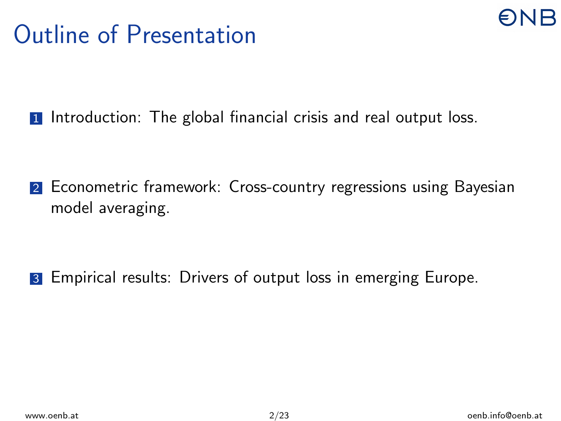### Outline of Presentation



2 Econometric framework: Cross-country regressions using Bayesian model averaging.

**3** Empirical results: Drivers of output loss in emerging Europe.

R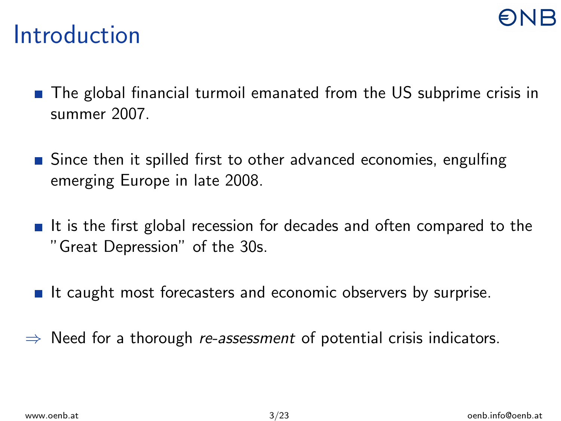#### **Introduction**

- **The global financial turmoil emanated from the US subprime crisis in** summer 2007.
- **Since then it spilled first to other advanced economies, engulfing** emerging Europe in late 2008.
- It is the first global recession for decades and often compared to the "Great Depression" of the 30s.
- It caught most forecasters and economic observers by surprise.
- $\Rightarrow$  Need for a thorough re-assessment of potential crisis indicators.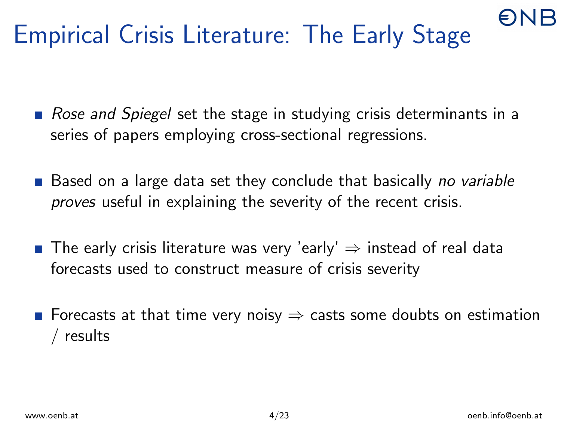## Empirical Crisis Literature: The Early Stage

- Rose and Spiegel set the stage in studying crisis determinants in a series of papers employing cross-sectional regressions.
- $\blacksquare$  Based on a large data set they conclude that basically no variable proves useful in explaining the severity of the recent crisis.
- **■** The early crisis literature was very 'early'  $\Rightarrow$  instead of real data forecasts used to construct measure of crisis severity
- **■** Forecasts at that time very noisy  $\Rightarrow$  casts some doubts on estimation / results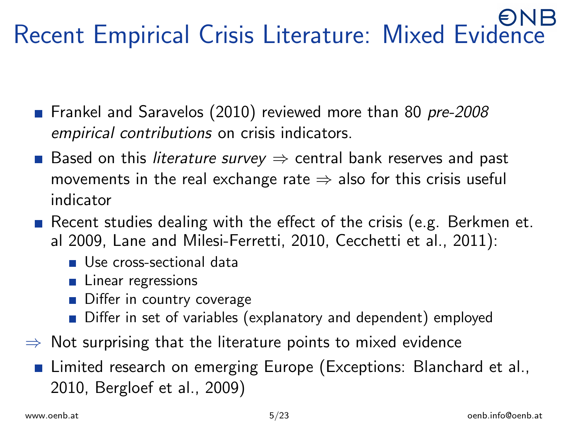# Recent Empirical Crisis Literature: Mixed Evidence

- Frankel and Saravelos (2010) reviewed more than 80 pre-2008 empirical contributions on crisis indicators.
- Based on this *literature survey*  $\Rightarrow$  central bank reserves and past movements in the real exchange rate  $\Rightarrow$  also for this crisis useful indicator
- Recent studies dealing with the effect of the crisis (e.g. Berkmen et. al 2009, Lane and Milesi-Ferretti, 2010, Cecchetti et al., 2011):
	- Use cross-sectional data
	- **Linear regressions**
	- Differ in country coverage
	- Differ in set of variables (explanatory and dependent) employed
- $\Rightarrow$  Not surprising that the literature points to mixed evidence
	- **Example 2** Limited research on emerging Europe (Exceptions: Blanchard et al., 2010, Bergloef et al., 2009)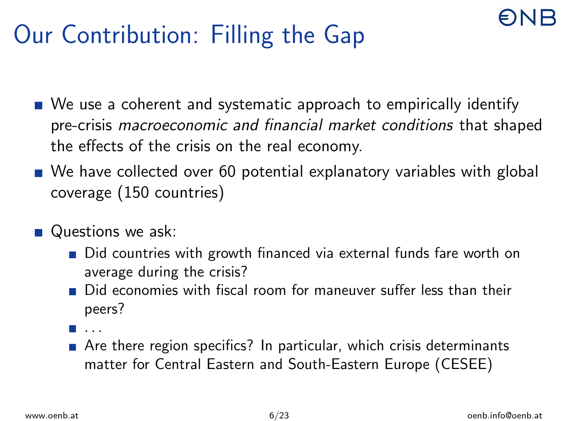## Our Contribution: Filling the Gap

- We use a coherent and systematic approach to empirically identify pre-crisis macroeconomic and financial market conditions that shaped the effects of the crisis on the real economy.
- We have collected over 60 potential explanatory variables with global coverage (150 countries)
- Questions we ask:
	- Did countries with growth financed via external funds fare worth on average during the crisis?
	- Did economies with fiscal room for maneuver suffer less than their peers?
	- . . .
	- Are there region specifics? In particular, which crisis determinants matter for Central Eastern and South-Eastern Europe (CESEE)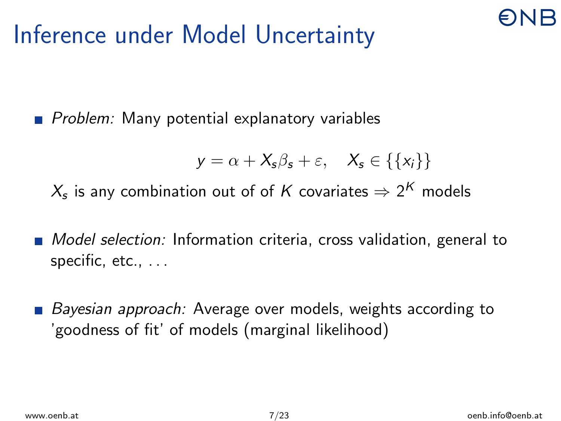#### Inference under Model Uncertainty

 $\blacksquare$  Problem: Many potential explanatory variables

$$
y = \alpha + X_s \beta_s + \varepsilon, \quad X_s \in \{\{x_i\}\}\
$$

 $\mathcal{X}_\mathsf{s}$  is any combination out of of  $\mathcal K$  covariates  $\Rightarrow$  2 $^\mathcal K$  models

- **Model selection:** Information criteria, cross validation, general to specific, etc., . . .
- Bayesian approach: Average over models, weights according to 'goodness of fit' of models (marginal likelihood)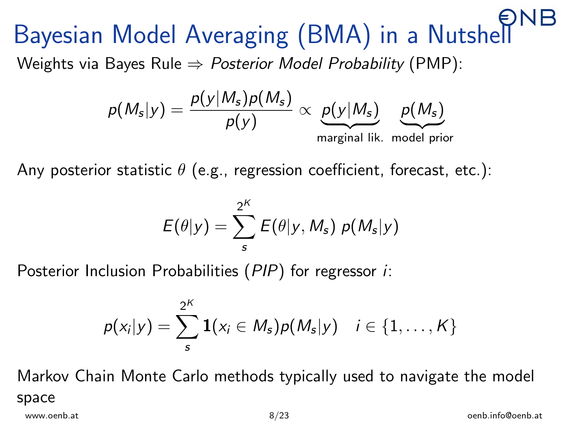# Bayesian Model Averaging (BMA) in a Nutshell

Weights via Bayes Rule  $\Rightarrow$  Posterior Model Probability (PMP):



Any posterior statistic  $\theta$  (e.g., regression coefficient, forecast, etc.):

$$
E(\theta|y) = \sum_{s}^{2^K} E(\theta|y, M_s) p(M_s|y)
$$

Posterior Inclusion Probabilities (PIP) for regressor *i*:

$$
p(x_i|y) = \sum_{s}^{2^K} \mathbf{1}(x_i \in M_s) p(M_s|y) \quad i \in \{1,\ldots,K\}
$$

Markov Chain Monte Carlo methods typically used to navigate the model space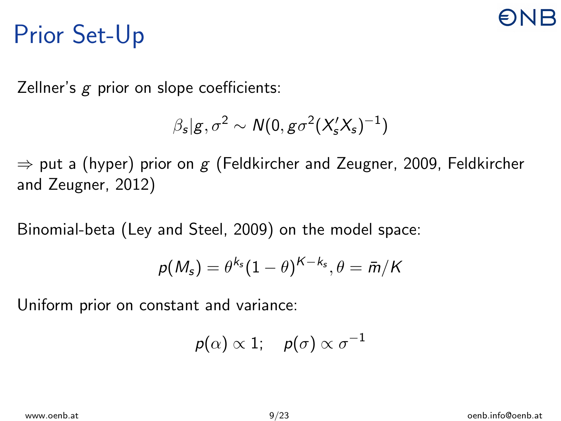## Prior Set-Up

Zellner's  $g$  prior on slope coefficients:

$$
\beta_s|g,\sigma^2 \sim N(0,g\sigma^2(X'_sX_s)^{-1})
$$

 $\Rightarrow$  put a (hyper) prior on g (Feldkircher and Zeugner, 2009, Feldkircher and Zeugner, 2012)

Binomial-beta (Ley and Steel, 2009) on the model space:

$$
p(M_s) = \theta^{k_s}(1-\theta)^{K-k_s}, \theta = \bar{m}/K
$$

Uniform prior on constant and variance:

$$
p(\alpha) \propto 1; \quad p(\sigma) \propto \sigma^{-1}
$$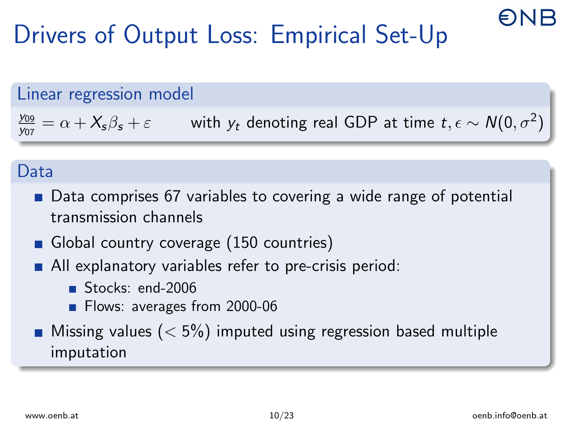# Drivers of Output Loss: Empirical Set-Up

#### Linear regression model

y<sup>09</sup>  $\frac{y_{09}}{y_{07}} = \alpha + X_s \beta_s + \varepsilon$  with  $y_t$  denoting real GDP at time  $t, \epsilon \sim \mathcal{N}(0, \sigma^2)$ 

#### Data

- Data comprises 67 variables to covering a wide range of potential transmission channels
- Global country coverage (150 countries)
- All explanatory variables refer to pre-crisis period:
	- Stocks: end-2006
	- **Flows: averages from 2000-06**
- **Missing values (** $<$  5%) imputed using regression based multiple imputation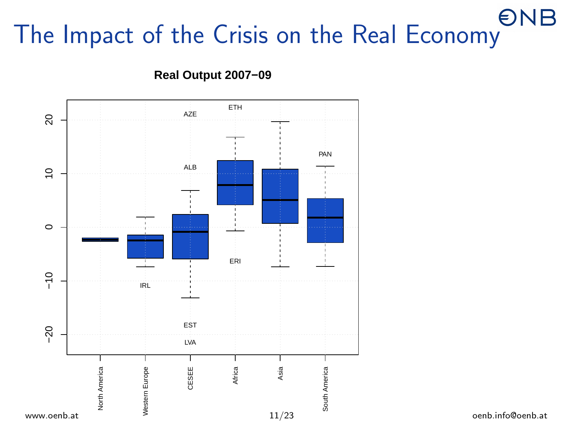# The Impact of the Crisis on the Real Economy



**Real Output 2007−09**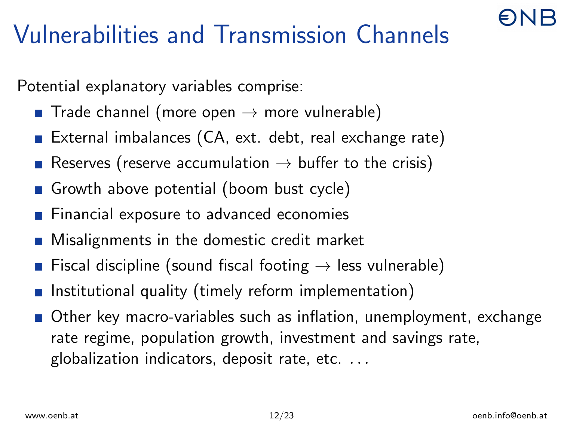# Vulnerabilities and Transmission Channels

Potential explanatory variables comprise:

- Trade channel (more open  $\rightarrow$  more vulnerable)
- External imbalances (CA, ext. debt, real exchange rate)
- Reserves (reserve accumulation  $\rightarrow$  buffer to the crisis)
- Growth above potential (boom bust cycle)
- **Financial exposure to advanced economies**
- Misalignments in the domestic credit market
- Fiscal discipline (sound fiscal footing  $\rightarrow$  less vulnerable)
- Institutional quality (timely reform implementation)
- Other key macro-variables such as inflation, unemployment, exchange rate regime, population growth, investment and savings rate, globalization indicators, deposit rate, etc. . . .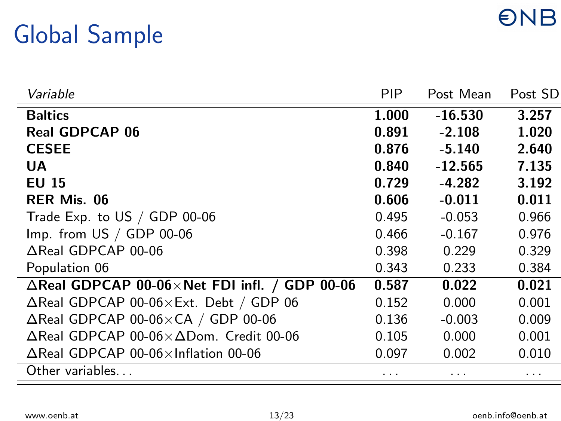## **ONB**

## Global Sample

| Variable                                                         | <b>PIP</b> | Post Mean | Post SD |
|------------------------------------------------------------------|------------|-----------|---------|
| <b>Baltics</b>                                                   | 1.000      | $-16.530$ | 3.257   |
| <b>Real GDPCAP 06</b>                                            | 0.891      | $-2.108$  | 1.020   |
| <b>CESEE</b>                                                     | 0.876      | $-5.140$  | 2.640   |
| UA                                                               | 0.840      | $-12.565$ | 7.135   |
| <b>EU 15</b>                                                     | 0.729      | $-4.282$  | 3.192   |
| RER Mis. 06                                                      | 0.606      | $-0.011$  | 0.011   |
| Trade Exp. to US / GDP 00-06                                     | 0.495      | $-0.053$  | 0.966   |
| $Imp. from US / GDP 00-06$                                       | 0.466      | $-0.167$  | 0.976   |
| $\triangle$ Real GDPCAP 00-06                                    | 0.398      | 0.229     | 0.329   |
| Population 06                                                    | 0.343      | 0.233     | 0.384   |
| $\triangle$ Real GDPCAP 00-06 $\times$ Net FDI infl. / GDP 00-06 | 0.587      | 0.022     | 0.021   |
| $\Delta$ Real GDPCAP 00-06 $\times$ Ext. Debt / GDP 06           | 0.152      | 0.000     | 0.001   |
| $\Delta$ Real GDPCAP 00-06 $\times$ CA / GDP 00-06               | 0.136      | $-0.003$  | 0.009   |
| $\Delta$ Real GDPCAP 00-06 $\times$ $\Delta$ Dom. Credit 00-06   | 0.105      | 0.000     | 0.001   |
| $\Delta$ Real GDPCAP 00-06 $\times$ Inflation 00-06              | 0.097      | 0.002     | 0.010   |
| Other variables                                                  | .          |           | .       |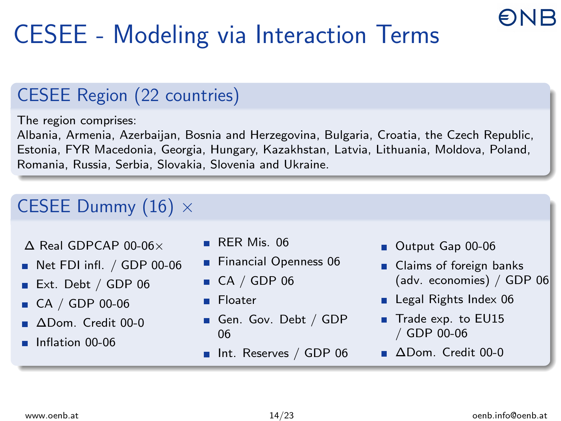# CESEE - Modeling via Interaction Terms

#### CESEE Region (22 countries)

The region comprises:

Albania, Armenia, Azerbaijan, Bosnia and Herzegovina, Bulgaria, Croatia, the Czech Republic, Estonia, FYR Macedonia, Georgia, Hungary, Kazakhstan, Latvia, Lithuania, Moldova, Poland, Romania, Russia, Serbia, Slovakia, Slovenia and Ukraine.

#### CESEE Dummy  $(16) \times$

∆ Real GDPCAP 00-06×

- Net FDI infl. / GDP 00-06
- Ext. Debt / GDP 06
- CA / GDP 00-06
- ADom. Credit 00-0
- **Inflation 00-06**
- RER Mis. 06
- **Financial Openness 06**
- $\blacksquare$  CA / GDP 06
- **Floater**
- Gen. Gov. Debt / GDP 06
- Int. Reserves / GDP 06
- Output Gap 00-06
- Claims of foreign banks (adv. economies) / GDP 06
- Legal Rights Index 06
- Trade exp. to EU15 / GDP 00-06
- ∆Dom. Credit 00-0

**ANR**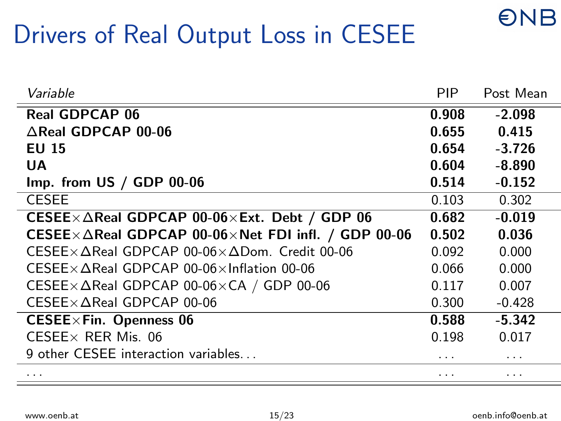## Drivers of Real Output Loss in CESEE

| Variable                                                                   | <b>PIP</b> | Post Mean |
|----------------------------------------------------------------------------|------------|-----------|
| <b>Real GDPCAP 06</b>                                                      | 0.908      | $-2.098$  |
| $\triangle$ Real GDPCAP 00-06                                              | 0.655      | 0.415     |
| <b>EU 15</b>                                                               | 0.654      | $-3.726$  |
| UA                                                                         | 0.604      | $-8.890$  |
| $Imp.$ from US $/$ GDP 00-06                                               | 0.514      | $-0.152$  |
| <b>CESEE</b>                                                               | 0.103      | 0.302     |
| CESEE $\times \Delta$ Real GDPCAP 00-06 $\times$ Ext. Debt / GDP 06        | 0.682      | $-0.019$  |
| CESEE $\times \Delta$ Real GDPCAP 00-06 $\times$ Net FDI infl. / GDP 00-06 | 0.502      | 0.036     |
| $CESEE \times \Delta$ Real GDPCAP 00-06 $\times \Delta$ Dom. Credit 00-06  | 0.092      | 0.000     |
| $CESEE \times \Delta$ Real GDPCAP 00-06 $\times$ Inflation 00-06           | 0.066      | 0.000     |
| CESEE $\times \Delta$ Real GDPCAP 00-06 $\times$ CA / GDP 00-06            | 0.117      | 0.007     |
| $CESEE \times \Delta Real$ GDPCAP 00-06                                    | 0.300      | $-0.428$  |
| $CESEE \times Fin.$ Openness 06                                            | 0.588      | $-5.342$  |
| CESEE $\times$ RER Mis. 06                                                 | 0.198      | 0.017     |
| 9 other CESEE interaction variables                                        | .          | .         |
| .                                                                          | .          | .         |
|                                                                            |            |           |

**ONB**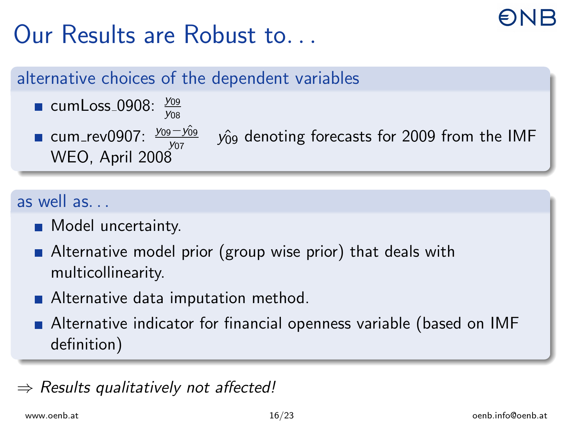# Our Results are Robust to.

#### alternative choices of the dependent variables

cumLoss\_0908:  $\frac{y_{09}}{y_{08}}$ cum\_rev0907: <del>yos−yôs</del><br>w=e webserver WEO, April 2008

 $y<sub>09</sub>$  denoting forecasts for 2009 from the IMF

#### as well as. . .

- **Model uncertainty.**
- Alternative model prior (group wise prior) that deals with multicollinearity.
- Alternative data imputation method.
- Alternative indicator for financial openness variable (based on IMF definition)

#### Results qualitatively not affected!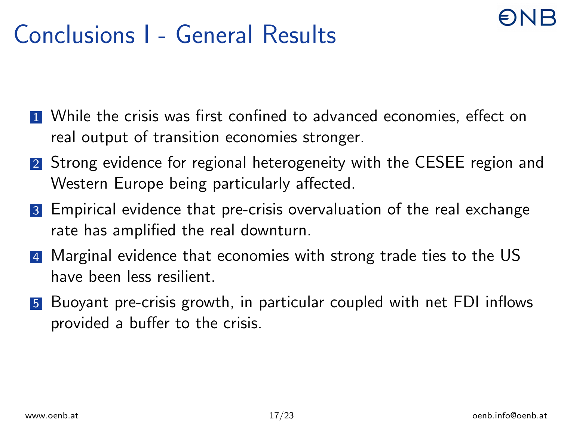#### Conclusions I - General Results

- **1** While the crisis was first confined to advanced economies, effect on real output of transition economies stronger.
- 2 Strong evidence for regional heterogeneity with the CESEE region and Western Europe being particularly affected.
- 3 Empirical evidence that pre-crisis overvaluation of the real exchange rate has amplified the real downturn.
- 4 Marginal evidence that economies with strong trade ties to the US have been less resilient.
- 5 Buoyant pre-crisis growth, in particular coupled with net FDI inflows provided a buffer to the crisis.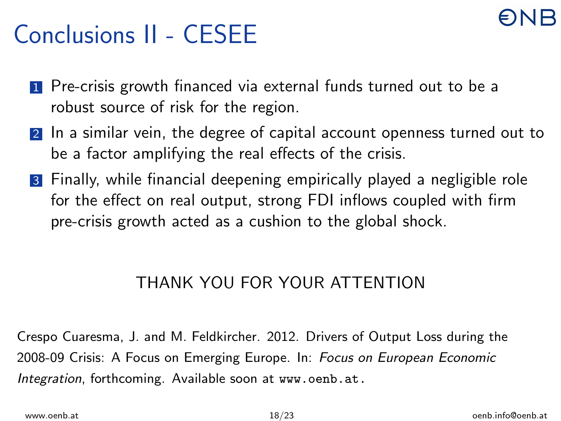### Conclusions II - CESEE

- **1** Pre-crisis growth financed via external funds turned out to be a robust source of risk for the region.
- 2 In a similar vein, the degree of capital account openness turned out to be a factor amplifying the real effects of the crisis.
- 3 Finally, while financial deepening empirically played a negligible role for the effect on real output, strong FDI inflows coupled with firm pre-crisis growth acted as a cushion to the global shock.

#### THANK YOU FOR YOUR ATTENTION

Crespo Cuaresma, J. and M. Feldkircher. 2012. Drivers of Output Loss during the 2008-09 Crisis: A Focus on Emerging Europe. In: Focus on European Economic Integration, forthcoming. Available soon at <www.oenb.at.>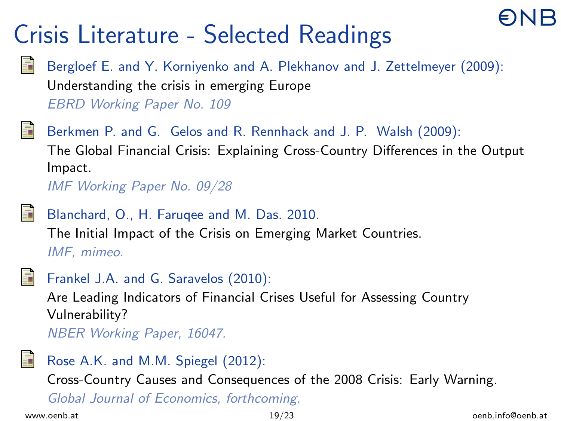# Crisis Literature - Selected Readings



Bergloef E. and Y. Korniyenko and A. Plekhanov and J. Zettelmeyer (2009): Understanding the crisis in emerging Europe

EBRD Working Paper No. 109



Berkmen P. and G. Gelos and R. Rennhack and J. P. Walsh (2009): The Global Financial Crisis: Explaining Cross-Country Differences in the Output Impact.

IMF Working Paper No. 09/28



Blanchard, O., H. Faruqee and M. Das. 2010. The Initial Impact of the Crisis on Emerging Market Countries. IMF, mimeo.



Frankel J.A. and G. Saravelos (2010):

Are Leading Indicators of Financial Crises Useful for Assessing Country Vulnerability?

NBER Working Paper, 16047.



Rose A.K. and M.M. Spiegel (2012):

Cross-Country Causes and Consequences of the 2008 Crisis: Early Warning.

Global Journal of Economics, forthcoming.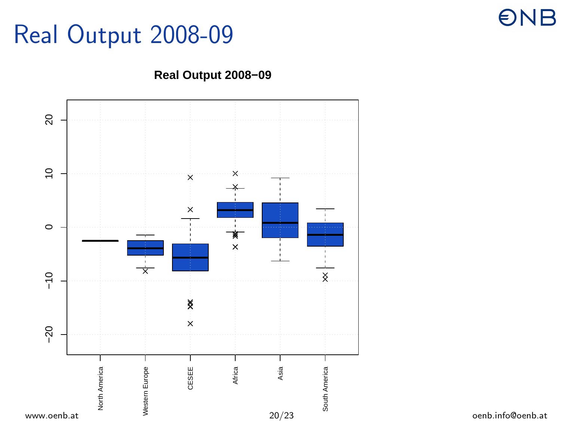#### Real Output 2008-09

### **ONB**



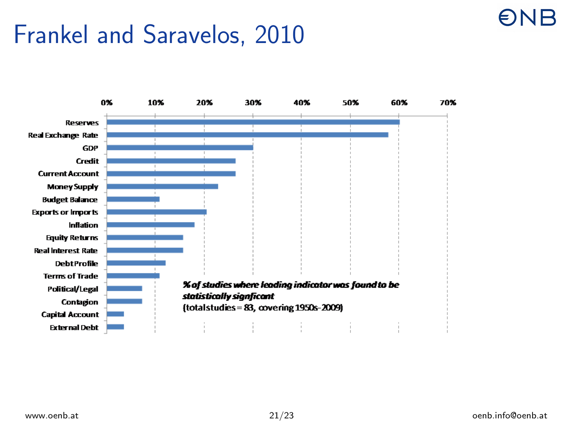#### Frankel and Saravelos, 2010



 $\n *ENB*\n$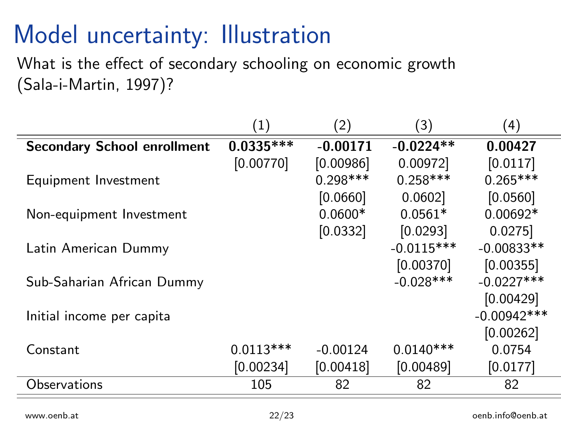### Model uncertainty: Illustration

What is the effect of secondary schooling on economic growth (Sala-i-Martin, 1997)?

|                                    | $\left( 1\right)$ | (2)        | (3)          | (4)           |
|------------------------------------|-------------------|------------|--------------|---------------|
| <b>Secondary School enrollment</b> | $0.0335***$       | $-0.00171$ | $-0.0224**$  | 0.00427       |
|                                    | [0.00770]         | [0.00986]  | 0.00972      | [0.0117]      |
| Equipment Investment               |                   | $0.298***$ | $0.258***$   | $0.265***$    |
|                                    |                   | [0.0660]   | 0.0602       | [0.0560]      |
| Non-equipment Investment           |                   | $0.0600*$  | $0.0561*$    | $0.00692*$    |
|                                    |                   | [0.0332]   | [0.0293]     | 0.0275        |
| Latin American Dummy               |                   |            | $-0.0115***$ | $-0.00833**$  |
|                                    |                   |            | [0.00370]    | [0.00355]     |
| Sub-Saharian African Dummy         |                   |            | $-0.028$ *** | $-0.0227***$  |
|                                    |                   |            |              | [0.00429]     |
| Initial income per capita          |                   |            |              | $-0.00942***$ |
|                                    |                   |            |              | [0.00262]     |
| Constant                           | $0.0113***$       | $-0.00124$ | $0.0140***$  | 0.0754        |
|                                    | [0.00234]         | [0.00418]  | [0.00489]    | [0.0177]      |
| Observations                       | 105               | 82         | 82           | 82            |
|                                    |                   |            |              |               |